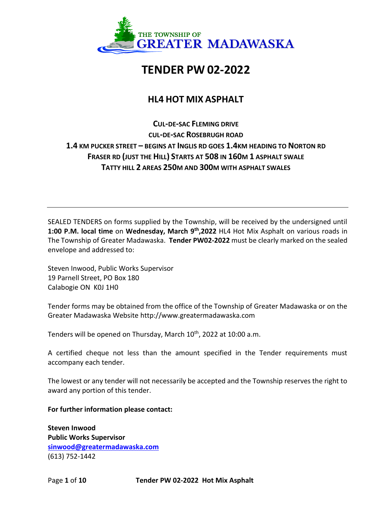

# **TENDER PW 02-2022**

# **HL4 HOT MIX ASPHALT**

**CUL-DE-SAC FLEMING DRIVE CUL-DE-SAC ROSEBRUGH ROAD 1.4 KM PUCKER STREET – BEGINS AT INGLIS RD GOES 1.4KM HEADING TO NORTON RD FRASER RD (JUST THE HILL) STARTS AT 508 IN 160M 1 ASPHALT SWALE TATTY HILL 2 AREAS 250M AND 300M WITH ASPHALT SWALES**

SEALED TENDERS on forms supplied by the Township, will be received by the undersigned until **1:00 P.M. local time** on **Wednesday, March 9th ,2022** HL4 Hot Mix Asphalt on various roads in The Township of Greater Madawaska. **Tender PW02-2022** must be clearly marked on the sealed envelope and addressed to:

Steven Inwood, Public Works Supervisor 19 Parnell Street, PO Box 180 Calabogie ON K0J 1H0

Tender forms may be obtained from the office of the Township of Greater Madawaska or on the Greater Madawaska Website http://www.greatermadawaska.com

Tenders will be opened on Thursday, March 10<sup>th</sup>, 2022 at 10:00 a.m.

A certified cheque not less than the amount specified in the Tender requirements must accompany each tender.

The lowest or any tender will not necessarily be accepted and the Township reserves the right to award any portion of this tender.

**For further information please contact:**

**Steven Inwood Public Works Supervisor [sinwood@greatermadawaska.com](mailto:sinwood@greatermadawaska.com)** (613) 752-1442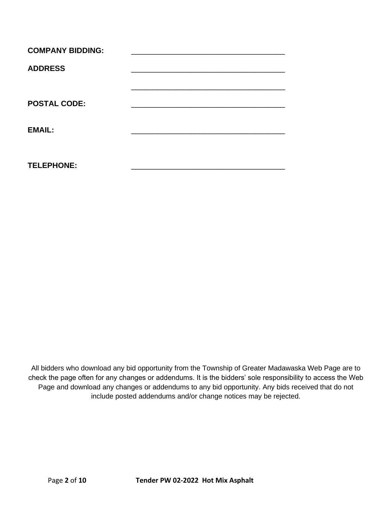| <b>COMPANY BIDDING:</b> |  |
|-------------------------|--|
| <b>ADDRESS</b>          |  |
|                         |  |
| <b>POSTAL CODE:</b>     |  |
| <b>EMAIL:</b>           |  |
| <b>TELEPHONE:</b>       |  |

All bidders who download any bid opportunity from the Township of Greater Madawaska Web Page are to check the page often for any changes or addendums. It is the bidders' sole responsibility to access the Web Page and download any changes or addendums to any bid opportunity. Any bids received that do not include posted addendums and/or change notices may be rejected.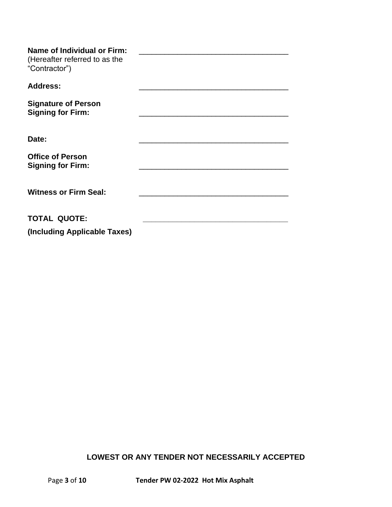| <b>Name of Individual or Firm:</b><br>(Hereafter referred to as the<br>"Contractor") |  |
|--------------------------------------------------------------------------------------|--|
| <b>Address:</b>                                                                      |  |
| <b>Signature of Person</b><br><b>Signing for Firm:</b>                               |  |
| Date:                                                                                |  |
| <b>Office of Person</b><br><b>Signing for Firm:</b>                                  |  |
| <b>Witness or Firm Seal:</b>                                                         |  |
| <b>TOTAL QUOTE:</b>                                                                  |  |
| (Including Applicable Taxes)                                                         |  |

# **LOWEST OR ANY TENDER NOT NECESSARILY ACCEPTED**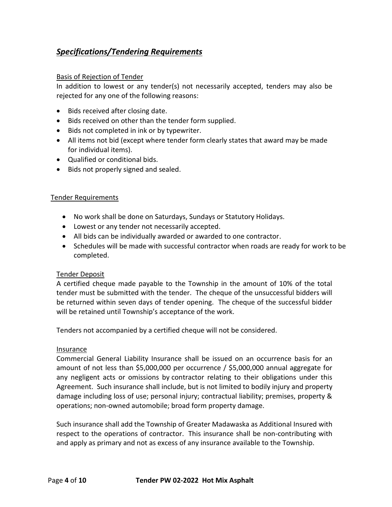# *Specifications/Tendering Requirements*

#### Basis of Rejection of Tender

In addition to lowest or any tender(s) not necessarily accepted, tenders may also be rejected for any one of the following reasons:

- Bids received after closing date.
- Bids received on other than the tender form supplied.
- Bids not completed in ink or by typewriter.
- All items not bid (except where tender form clearly states that award may be made for individual items).
- Qualified or conditional bids.
- Bids not properly signed and sealed.

#### Tender Requirements

- No work shall be done on Saturdays, Sundays or Statutory Holidays.
- Lowest or any tender not necessarily accepted.
- All bids can be individually awarded or awarded to one contractor.
- Schedules will be made with successful contractor when roads are ready for work to be completed.

#### Tender Deposit

A certified cheque made payable to the Township in the amount of 10% of the total tender must be submitted with the tender. The cheque of the unsuccessful bidders will be returned within seven days of tender opening. The cheque of the successful bidder will be retained until Township's acceptance of the work.

Tenders not accompanied by a certified cheque will not be considered.

#### Insurance

Commercial General Liability Insurance shall be issued on an occurrence basis for an amount of not less than \$5,000,000 per occurrence / \$5,000,000 annual aggregate for any negligent acts or omissions by contractor relating to their obligations under this Agreement. Such insurance shall include, but is not limited to bodily injury and property damage including loss of use; personal injury; contractual liability; premises, property & operations; non-owned automobile; broad form property damage.

Such insurance shall add the Township of Greater Madawaska as Additional Insured with respect to the operations of contractor. This insurance shall be non-contributing with and apply as primary and not as excess of any insurance available to the Township.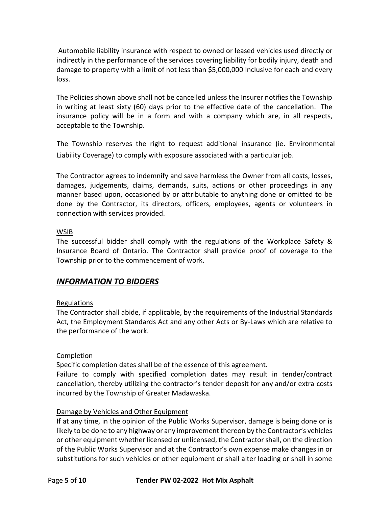Automobile liability insurance with respect to owned or leased vehicles used directly or indirectly in the performance of the services covering liability for bodily injury, death and damage to property with a limit of not less than \$5,000,000 Inclusive for each and every loss.

The Policies shown above shall not be cancelled unless the Insurer notifies the Township in writing at least sixty (60) days prior to the effective date of the cancellation. The insurance policy will be in a form and with a company which are, in all respects, acceptable to the Township.

The Township reserves the right to request additional insurance (ie. Environmental Liability Coverage) to comply with exposure associated with a particular job.

The Contractor agrees to indemnify and save harmless the Owner from all costs, losses, damages, judgements, claims, demands, suits, actions or other proceedings in any manner based upon, occasioned by or attributable to anything done or omitted to be done by the Contractor, its directors, officers, employees, agents or volunteers in connection with services provided.

#### **WSIB**

The successful bidder shall comply with the regulations of the Workplace Safety & Insurance Board of Ontario. The Contractor shall provide proof of coverage to the Township prior to the commencement of work.

# *INFORMATION TO BIDDERS*

#### Regulations

The Contractor shall abide, if applicable, by the requirements of the Industrial Standards Act, the Employment Standards Act and any other Acts or By-Laws which are relative to the performance of the work.

#### Completion

Specific completion dates shall be of the essence of this agreement.

Failure to comply with specified completion dates may result in tender/contract cancellation, thereby utilizing the contractor's tender deposit for any and/or extra costs incurred by the Township of Greater Madawaska.

#### Damage by Vehicles and Other Equipment

If at any time, in the opinion of the Public Works Supervisor, damage is being done or is likely to be done to any highway or any improvement thereon by the Contractor's vehicles or other equipment whether licensed or unlicensed, the Contractor shall, on the direction of the Public Works Supervisor and at the Contractor's own expense make changes in or substitutions for such vehicles or other equipment or shall alter loading or shall in some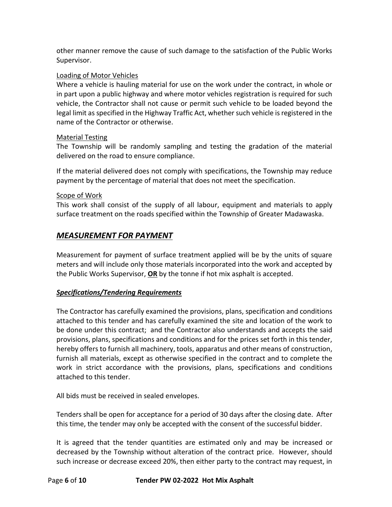other manner remove the cause of such damage to the satisfaction of the Public Works Supervisor.

### Loading of Motor Vehicles

Where a vehicle is hauling material for use on the work under the contract, in whole or in part upon a public highway and where motor vehicles registration is required for such vehicle, the Contractor shall not cause or permit such vehicle to be loaded beyond the legal limit as specified in the Highway Traffic Act, whether such vehicle is registered in the name of the Contractor or otherwise.

### Material Testing

The Township will be randomly sampling and testing the gradation of the material delivered on the road to ensure compliance.

If the material delivered does not comply with specifications, the Township may reduce payment by the percentage of material that does not meet the specification.

### Scope of Work

This work shall consist of the supply of all labour, equipment and materials to apply surface treatment on the roads specified within the Township of Greater Madawaska.

# *MEASUREMENT FOR PAYMENT*

Measurement for payment of surface treatment applied will be by the units of square meters and will include only those materials incorporated into the work and accepted by the Public Works Supervisor, **OR** by the tonne if hot mix asphalt is accepted.

# *Specifications/Tendering Requirements*

The Contractor has carefully examined the provisions, plans, specification and conditions attached to this tender and has carefully examined the site and location of the work to be done under this contract; and the Contractor also understands and accepts the said provisions, plans, specifications and conditions and for the prices set forth in this tender, hereby offers to furnish all machinery, tools, apparatus and other means of construction, furnish all materials, except as otherwise specified in the contract and to complete the work in strict accordance with the provisions, plans, specifications and conditions attached to this tender.

All bids must be received in sealed envelopes.

Tenders shall be open for acceptance for a period of 30 days after the closing date. After this time, the tender may only be accepted with the consent of the successful bidder.

It is agreed that the tender quantities are estimated only and may be increased or decreased by the Township without alteration of the contract price. However, should such increase or decrease exceed 20%, then either party to the contract may request, in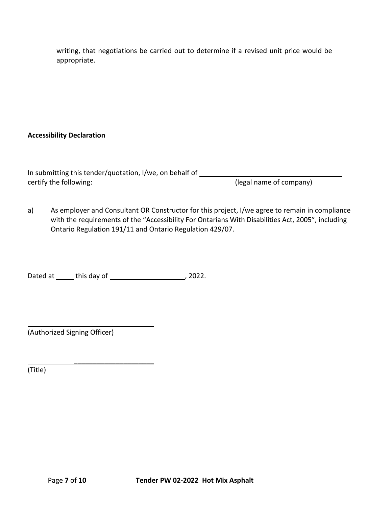writing, that negotiations be carried out to determine if a revised unit price would be appropriate.

# **Accessibility Declaration**

| In submitting this tender/quotation, I/we, on behalf of |                         |
|---------------------------------------------------------|-------------------------|
| certify the following:                                  | (legal name of company) |

a) As employer and Consultant OR Constructor for this project, I/we agree to remain in compliance with the requirements of the "Accessibility For Ontarians With Disabilities Act, 2005", including Ontario Regulation 191/11 and Ontario Regulation 429/07.

Dated at \_\_\_\_\_\_ this day of \_\_\_\_\_\_\_\_\_\_\_\_\_\_\_\_\_\_\_\_\_\_, 2022.

 $\overline{\phantom{a}}$  , where  $\overline{\phantom{a}}$  , where  $\overline{\phantom{a}}$  , where  $\overline{\phantom{a}}$ 

 $\overline{\phantom{a}}$  , where  $\overline{\phantom{a}}$  , where  $\overline{\phantom{a}}$  , where  $\overline{\phantom{a}}$ (Authorized Signing Officer)

(Title)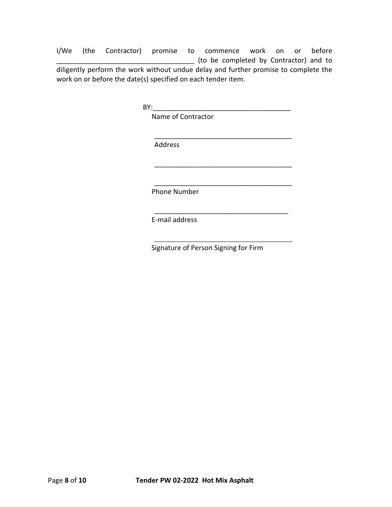I/We (the Contractor) promise to commence work on or before \_\_\_\_\_\_\_\_\_\_\_\_\_\_\_\_\_\_\_\_\_\_\_\_\_\_\_\_\_\_\_\_\_\_\_\_ (to be completed by Contractor) and to diligently perform the work without undue delay and further promise to complete the work on or before the date(s) specified on each tender item.

 $BY:$ 

Name of Contractor

Address

Phone Number

E-mail address

Signature of Person Signing for Firm

\_\_\_\_\_\_\_\_\_\_\_\_\_\_\_\_\_\_\_\_\_\_\_\_\_\_\_\_\_\_\_\_\_\_\_\_

\_\_\_\_\_\_\_\_\_\_\_\_\_\_\_\_\_\_\_\_\_\_\_\_\_\_\_\_\_\_\_\_\_\_\_\_

\_\_\_\_\_\_\_\_\_\_\_\_\_\_\_\_\_\_\_\_\_\_\_\_\_\_\_\_\_\_\_\_\_\_\_\_

\_\_\_\_\_\_\_\_\_\_\_\_\_\_\_\_\_\_\_\_\_\_\_\_\_\_\_\_\_\_\_\_\_\_\_

\_\_\_\_\_\_\_\_\_\_\_\_\_\_\_\_\_\_\_\_\_\_\_\_\_\_\_\_\_\_\_\_\_\_\_\_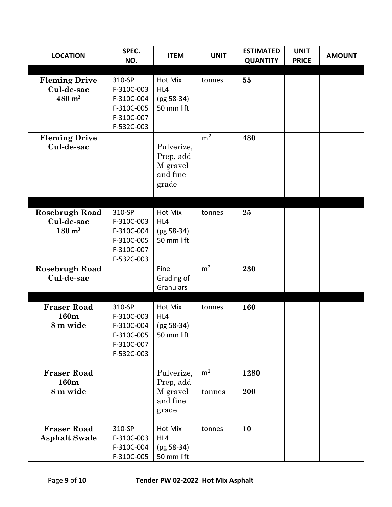| <b>LOCATION</b>                                           | SPEC.<br>NO.                                                                 | <b>ITEM</b>                                              | <b>UNIT</b>              | <b>ESTIMATED</b><br><b>QUANTITY</b> | <b>UNIT</b><br><b>PRICE</b> | <b>AMOUNT</b> |
|-----------------------------------------------------------|------------------------------------------------------------------------------|----------------------------------------------------------|--------------------------|-------------------------------------|-----------------------------|---------------|
| <b>Fleming Drive</b><br>Cul-de-sac<br>$480 \; \text{m}^2$ | 310-SP<br>F-310C-003<br>F-310C-004<br>F-310C-005<br>F-310C-007<br>F-532C-003 | Hot Mix<br>HL4<br>(pg 58-34)<br>50 mm lift               | tonnes                   | 55                                  |                             |               |
| <b>Fleming Drive</b><br>Cul-de-sac                        |                                                                              | Pulverize,<br>Prep, add<br>M gravel<br>and fine<br>grade | m <sup>2</sup>           | 480                                 |                             |               |
| Rosebrugh Road<br>Cul-de-sac<br>$180 \; \text{m}^2$       | 310-SP<br>F-310C-003<br>F-310C-004<br>F-310C-005<br>F-310C-007<br>F-532C-003 | Hot Mix<br>HL4<br>$(pg 58-34)$<br>50 mm lift             | tonnes                   | 25                                  |                             |               |
| Rosebrugh Road<br>Cul-de-sac                              |                                                                              | Fine<br>Grading of<br>Granulars                          | m <sup>2</sup>           | 230                                 |                             |               |
| <b>Fraser Road</b><br>160m<br>8 m wide                    | 310-SP<br>F-310C-003<br>F-310C-004<br>F-310C-005<br>F-310C-007<br>F-532C-003 | Hot Mix<br>HL4<br>$(pg 58-34)$<br>50 mm lift             | tonnes                   | 160                                 |                             |               |
| <b>Fraser Road</b><br>160m<br>8 m wide                    |                                                                              | Pulverize,<br>Prep, add<br>M gravel<br>and fine<br>grade | m <sup>2</sup><br>tonnes | 1280<br>200                         |                             |               |
| <b>Fraser Road</b><br><b>Asphalt Swale</b>                | 310-SP<br>F-310C-003<br>F-310C-004<br>F-310C-005                             | Hot Mix<br>HL4<br>$(pg 58-34)$<br>50 mm lift             | tonnes                   | <b>10</b>                           |                             |               |